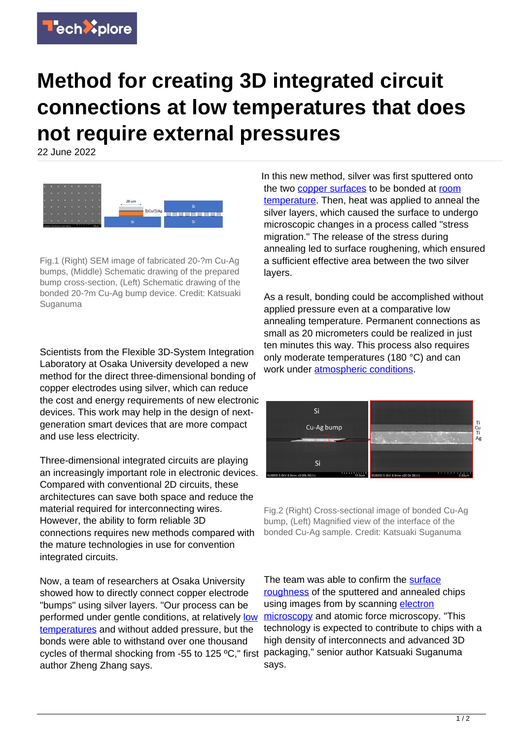

## **Method for creating 3D integrated circuit connections at low temperatures that does not require external pressures**

22 June 2022



Fig.1 (Right) SEM image of fabricated 20-?m Cu-Ag bumps, (Middle) Schematic drawing of the prepared bump cross-section, (Left) Schematic drawing of the bonded 20-?m Cu-Ag bump device. Credit: Katsuaki Suganuma

Scientists from the Flexible 3D-System Integration Laboratory at Osaka University developed a new method for the direct three-dimensional bonding of copper electrodes using silver, which can reduce the cost and energy requirements of new electronic devices. This work may help in the design of nextgeneration smart devices that are more compact and use less electricity.

Three-dimensional integrated circuits are playing an increasingly important role in electronic devices. Compared with conventional 2D circuits, these architectures can save both space and reduce the material required for interconnecting wires. However, the ability to form reliable 3D connections requires new methods compared with the mature technologies in use for convention integrated circuits.

Now, a team of researchers at Osaka University showed how to directly connect copper electrode "bumps" using silver layers. "Our process can be performed under gentle conditions, at relatively [low](https://techxplore.com/tags/low+temperatures/) [temperatures](https://techxplore.com/tags/low+temperatures/) and without added pressure, but the bonds were able to withstand over one thousand cycles of thermal shocking from -55 to 125 ºC," first author Zheng Zhang says.

In this new method, silver was first sputtered onto the two [copper surfaces](https://techxplore.com/tags/copper+surfaces/) to be bonded at [room](https://techxplore.com/tags/room+temperature/) [temperature.](https://techxplore.com/tags/room+temperature/) Then, heat was applied to anneal the silver layers, which caused the surface to undergo microscopic changes in a process called "stress migration." The release of the stress during annealing led to surface roughening, which ensured a sufficient effective area between the two silver layers.

As a result, bonding could be accomplished without applied pressure even at a comparative low annealing temperature. Permanent connections as small as 20 micrometers could be realized in just ten minutes this way. This process also requires only moderate temperatures (180 °C) and can work under **[atmospheric conditions](https://techxplore.com/tags/atmospheric+conditions/)**.



Fig.2 (Right) Cross-sectional image of bonded Cu-Ag bump, (Left) Magnified view of the interface of the bonded Cu-Ag sample. Credit: Katsuaki Suganuma

The team was able to confirm the [surface](https://techxplore.com/tags/surface+roughness/) [roughness](https://techxplore.com/tags/surface+roughness/) of the sputtered and annealed chips using images from by scanning [electron](https://techxplore.com/tags/electron+microscopy/) [microscopy](https://techxplore.com/tags/electron+microscopy/) and atomic force microscopy. "This technology is expected to contribute to chips with a high density of interconnects and advanced 3D packaging," senior author Katsuaki Suganuma says.